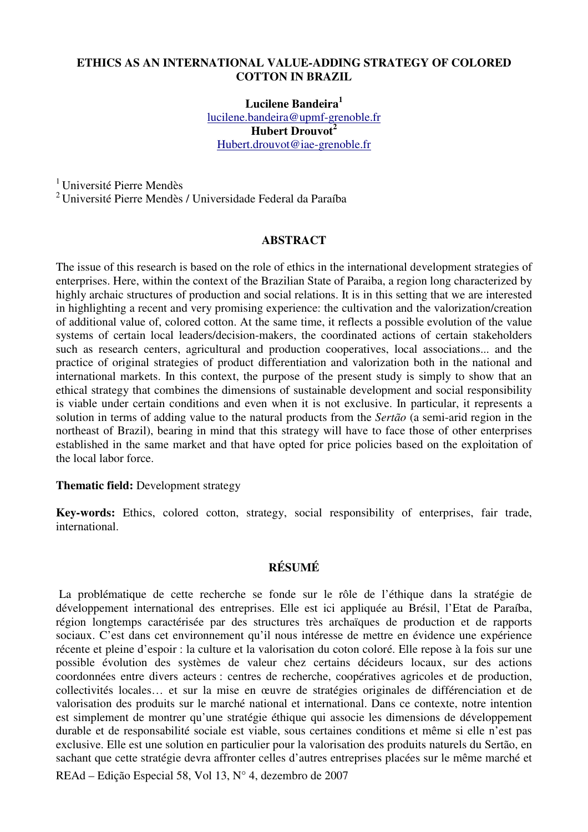### **Lucilene Bandeira<sup>1</sup>** lucilene.bandeira@upmf-grenoble.fr **Hubert Drouvot<sup>2</sup>** Hubert.drouvot@iae-grenoble.fr

<sup>1</sup> Université Pierre Mendès

<sup>2</sup>Université Pierre Mendès / Universidade Federal da Paraíba

### **ABSTRACT**

The issue of this research is based on the role of ethics in the international development strategies of enterprises. Here, within the context of the Brazilian State of Paraiba, a region long characterized by highly archaic structures of production and social relations. It is in this setting that we are interested in highlighting a recent and very promising experience: the cultivation and the valorization/creation of additional value of, colored cotton. At the same time, it reflects a possible evolution of the value systems of certain local leaders/decision-makers, the coordinated actions of certain stakeholders such as research centers, agricultural and production cooperatives, local associations... and the practice of original strategies of product differentiation and valorization both in the national and international markets. In this context, the purpose of the present study is simply to show that an ethical strategy that combines the dimensions of sustainable development and social responsibility is viable under certain conditions and even when it is not exclusive. In particular, it represents a solution in terms of adding value to the natural products from the *Sertão* (a semi-arid region in the northeast of Brazil), bearing in mind that this strategy will have to face those of other enterprises established in the same market and that have opted for price policies based on the exploitation of the local labor force.

### **Thematic field:** Development strategy

**Key-words:** Ethics, colored cotton, strategy, social responsibility of enterprises, fair trade, international.

### **RÉSUMÉ**

REAd – Edição Especial 58, Vol 13, N° 4, dezembro de 2007 La problématique de cette recherche se fonde sur le rôle de l'éthique dans la stratégie de développement international des entreprises. Elle est ici appliquée au Brésil, l'Etat de Paraíba, région longtemps caractérisée par des structures très archaïques de production et de rapports sociaux. C'est dans cet environnement qu'il nous intéresse de mettre en évidence une expérience récente et pleine d'espoir : la culture et la valorisation du coton coloré. Elle repose à la fois sur une possible évolution des systèmes de valeur chez certains décideurs locaux, sur des actions coordonnées entre divers acteurs : centres de recherche, coopératives agricoles et de production, collectivités locales… et sur la mise en œuvre de stratégies originales de différenciation et de valorisation des produits sur le marché national et international. Dans ce contexte, notre intention est simplement de montrer qu'une stratégie éthique qui associe les dimensions de développement durable et de responsabilité sociale est viable, sous certaines conditions et même si elle n'est pas exclusive. Elle est une solution en particulier pour la valorisation des produits naturels du Sertão, en sachant que cette stratégie devra affronter celles d'autres entreprises placées sur le même marché et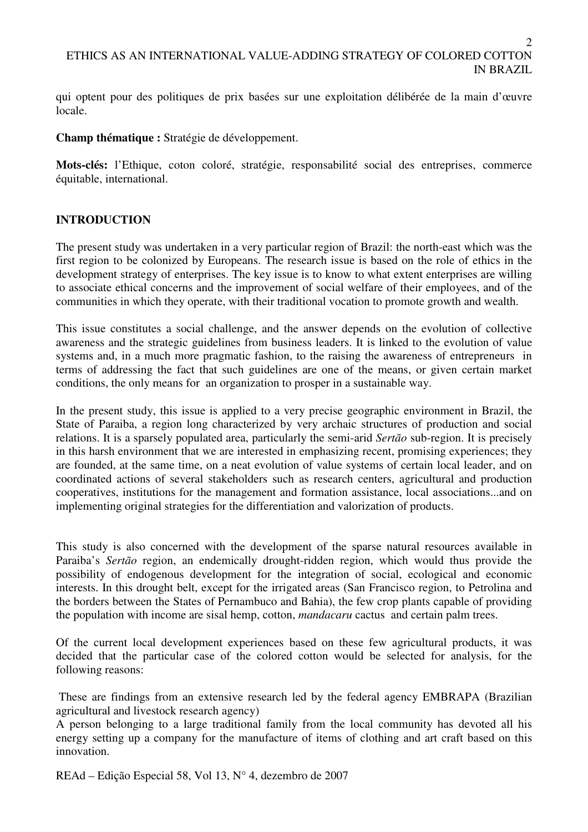qui optent pour des politiques de prix basées sur une exploitation délibérée de la main d'œuvre locale.

**Champ thématique :** Stratégie de développement.

**Mots-clés:** l'Ethique, coton coloré, stratégie, responsabilité social des entreprises, commerce équitable, international.

## **INTRODUCTION**

The present study was undertaken in a very particular region of Brazil: the north-east which was the first region to be colonized by Europeans. The research issue is based on the role of ethics in the development strategy of enterprises. The key issue is to know to what extent enterprises are willing to associate ethical concerns and the improvement of social welfare of their employees, and of the communities in which they operate, with their traditional vocation to promote growth and wealth.

This issue constitutes a social challenge, and the answer depends on the evolution of collective awareness and the strategic guidelines from business leaders. It is linked to the evolution of value systems and, in a much more pragmatic fashion, to the raising the awareness of entrepreneurs in terms of addressing the fact that such guidelines are one of the means, or given certain market conditions, the only means for an organization to prosper in a sustainable way.

In the present study, this issue is applied to a very precise geographic environment in Brazil, the State of Paraiba, a region long characterized by very archaic structures of production and social relations. It is a sparsely populated area, particularly the semi-arid *Sertão* sub-region. It is precisely in this harsh environment that we are interested in emphasizing recent, promising experiences; they are founded, at the same time, on a neat evolution of value systems of certain local leader, and on coordinated actions of several stakeholders such as research centers, agricultural and production cooperatives, institutions for the management and formation assistance, local associations...and on implementing original strategies for the differentiation and valorization of products.

This study is also concerned with the development of the sparse natural resources available in Paraiba's *Sertão* region, an endemically drought-ridden region, which would thus provide the possibility of endogenous development for the integration of social, ecological and economic interests. In this drought belt, except for the irrigated areas (San Francisco region, to Petrolina and the borders between the States of Pernambuco and Bahia), the few crop plants capable of providing the population with income are sisal hemp, cotton, *mandacaru* cactus and certain palm trees.

Of the current local development experiences based on these few agricultural products, it was decided that the particular case of the colored cotton would be selected for analysis, for the following reasons:

 These are findings from an extensive research led by the federal agency EMBRAPA (Brazilian agricultural and livestock research agency)

A person belonging to a large traditional family from the local community has devoted all his energy setting up a company for the manufacture of items of clothing and art craft based on this innovation.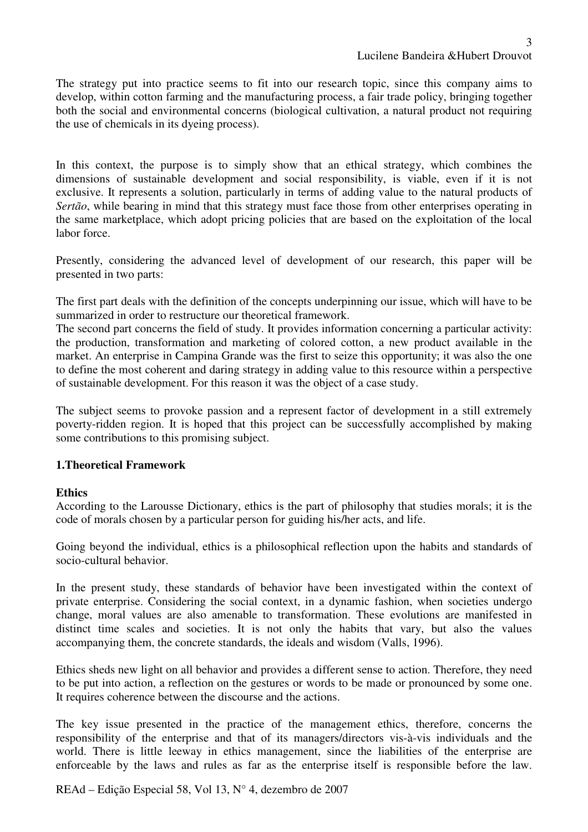The strategy put into practice seems to fit into our research topic, since this company aims to develop, within cotton farming and the manufacturing process, a fair trade policy, bringing together both the social and environmental concerns (biological cultivation, a natural product not requiring the use of chemicals in its dyeing process).

In this context, the purpose is to simply show that an ethical strategy, which combines the dimensions of sustainable development and social responsibility, is viable, even if it is not exclusive. It represents a solution, particularly in terms of adding value to the natural products of *Sertão*, while bearing in mind that this strategy must face those from other enterprises operating in the same marketplace, which adopt pricing policies that are based on the exploitation of the local labor force.

Presently, considering the advanced level of development of our research, this paper will be presented in two parts:

The first part deals with the definition of the concepts underpinning our issue, which will have to be summarized in order to restructure our theoretical framework.

The second part concerns the field of study. It provides information concerning a particular activity: the production, transformation and marketing of colored cotton, a new product available in the market. An enterprise in Campina Grande was the first to seize this opportunity; it was also the one to define the most coherent and daring strategy in adding value to this resource within a perspective of sustainable development. For this reason it was the object of a case study.

The subject seems to provoke passion and a represent factor of development in a still extremely poverty-ridden region. It is hoped that this project can be successfully accomplished by making some contributions to this promising subject.

### **1.Theoretical Framework**

### **Ethics**

According to the Larousse Dictionary, ethics is the part of philosophy that studies morals; it is the code of morals chosen by a particular person for guiding his/her acts, and life.

Going beyond the individual, ethics is a philosophical reflection upon the habits and standards of socio-cultural behavior.

In the present study, these standards of behavior have been investigated within the context of private enterprise. Considering the social context, in a dynamic fashion, when societies undergo change, moral values are also amenable to transformation. These evolutions are manifested in distinct time scales and societies. It is not only the habits that vary, but also the values accompanying them, the concrete standards, the ideals and wisdom (Valls, 1996).

Ethics sheds new light on all behavior and provides a different sense to action. Therefore, they need to be put into action, a reflection on the gestures or words to be made or pronounced by some one. It requires coherence between the discourse and the actions.

The key issue presented in the practice of the management ethics, therefore, concerns the responsibility of the enterprise and that of its managers/directors vis-à-vis individuals and the world. There is little leeway in ethics management, since the liabilities of the enterprise are enforceable by the laws and rules as far as the enterprise itself is responsible before the law.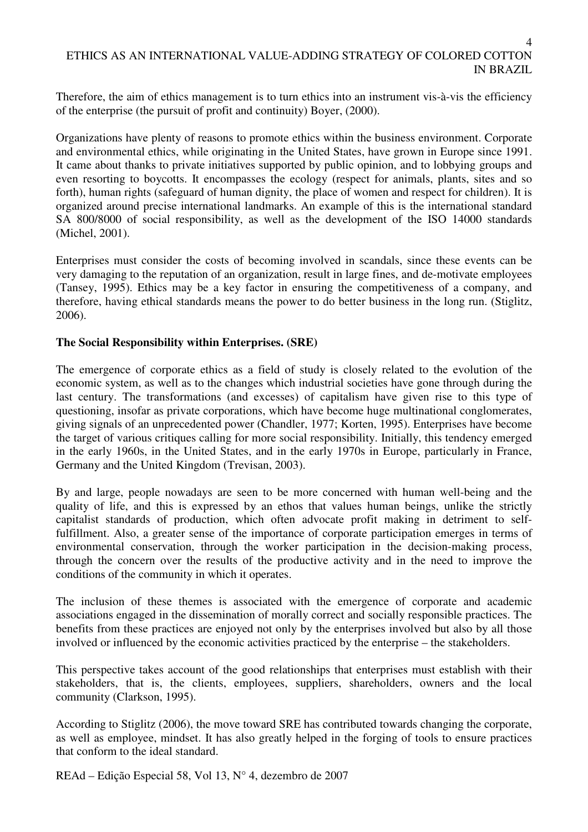Therefore, the aim of ethics management is to turn ethics into an instrument vis-à-vis the efficiency of the enterprise (the pursuit of profit and continuity) Boyer, (2000).

Organizations have plenty of reasons to promote ethics within the business environment. Corporate and environmental ethics, while originating in the United States, have grown in Europe since 1991. It came about thanks to private initiatives supported by public opinion, and to lobbying groups and even resorting to boycotts. It encompasses the ecology (respect for animals, plants, sites and so forth), human rights (safeguard of human dignity, the place of women and respect for children). It is organized around precise international landmarks. An example of this is the international standard SA 800/8000 of social responsibility, as well as the development of the ISO 14000 standards (Michel, 2001).

Enterprises must consider the costs of becoming involved in scandals, since these events can be very damaging to the reputation of an organization, result in large fines, and de-motivate employees (Tansey, 1995). Ethics may be a key factor in ensuring the competitiveness of a company, and therefore, having ethical standards means the power to do better business in the long run. (Stiglitz, 2006).

### **The Social Responsibility within Enterprises. (SRE)**

The emergence of corporate ethics as a field of study is closely related to the evolution of the economic system, as well as to the changes which industrial societies have gone through during the last century. The transformations (and excesses) of capitalism have given rise to this type of questioning, insofar as private corporations, which have become huge multinational conglomerates, giving signals of an unprecedented power (Chandler, 1977; Korten, 1995). Enterprises have become the target of various critiques calling for more social responsibility. Initially, this tendency emerged in the early 1960s, in the United States, and in the early 1970s in Europe, particularly in France, Germany and the United Kingdom (Trevisan, 2003).

By and large, people nowadays are seen to be more concerned with human well-being and the quality of life, and this is expressed by an ethos that values human beings, unlike the strictly capitalist standards of production, which often advocate profit making in detriment to selffulfillment. Also, a greater sense of the importance of corporate participation emerges in terms of environmental conservation, through the worker participation in the decision-making process, through the concern over the results of the productive activity and in the need to improve the conditions of the community in which it operates.

The inclusion of these themes is associated with the emergence of corporate and academic associations engaged in the dissemination of morally correct and socially responsible practices. The benefits from these practices are enjoyed not only by the enterprises involved but also by all those involved or influenced by the economic activities practiced by the enterprise – the stakeholders.

This perspective takes account of the good relationships that enterprises must establish with their stakeholders, that is, the clients, employees, suppliers, shareholders, owners and the local community (Clarkson, 1995).

According to Stiglitz (2006), the move toward SRE has contributed towards changing the corporate, as well as employee, mindset. It has also greatly helped in the forging of tools to ensure practices that conform to the ideal standard.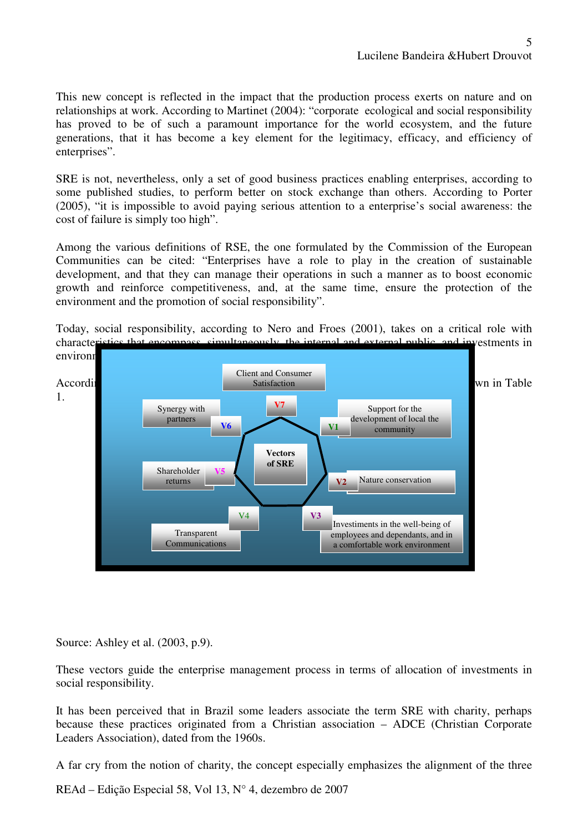This new concept is reflected in the impact that the production process exerts on nature and on relationships at work. According to Martinet (2004): "corporate ecological and social responsibility has proved to be of such a paramount importance for the world ecosystem, and the future generations, that it has become a key element for the legitimacy, efficacy, and efficiency of enterprises".

SRE is not, nevertheless, only a set of good business practices enabling enterprises, according to some published studies, to perform better on stock exchange than others. According to Porter (2005), "it is impossible to avoid paying serious attention to a enterprise's social awareness: the cost of failure is simply too high".

Among the various definitions of RSE, the one formulated by the Commission of the European Communities can be cited: "Enterprises have a role to play in the creation of sustainable development, and that they can manage their operations in such a manner as to boost economic growth and reinforce competitiveness, and, at the same time, ensure the protection of the environment and the promotion of social responsibility".

Today, social responsibility, according to Nero and Froes (2001), takes on a critical role with characteristics that encompass, simultaneously, the internal and external public, and investments in



Source: Ashley et al. (2003, p.9).

These vectors guide the enterprise management process in terms of allocation of investments in social responsibility.

It has been perceived that in Brazil some leaders associate the term SRE with charity, perhaps because these practices originated from a Christian association – ADCE (Christian Corporate Leaders Association), dated from the 1960s.

A far cry from the notion of charity, the concept especially emphasizes the alignment of the three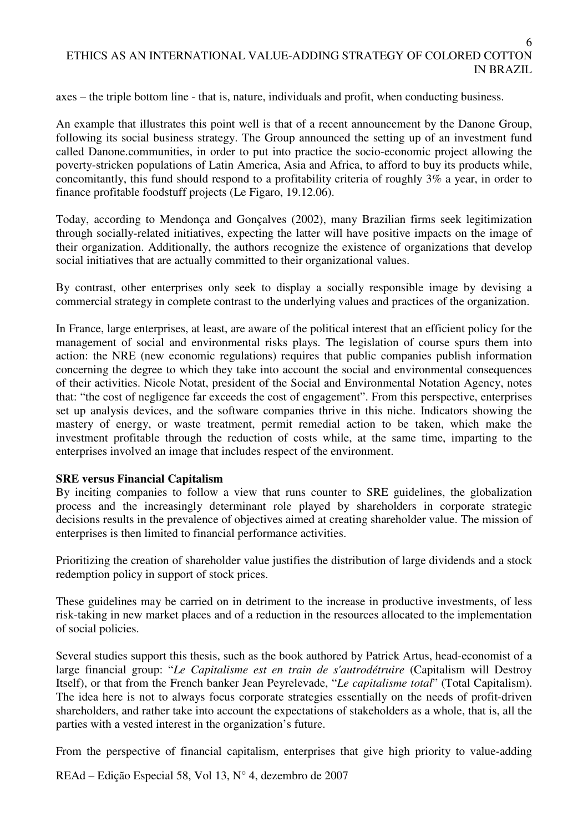6

axes – the triple bottom line - that is, nature, individuals and profit, when conducting business.

An example that illustrates this point well is that of a recent announcement by the Danone Group, following its social business strategy. The Group announced the setting up of an investment fund called Danone.communities, in order to put into practice the socio-economic project allowing the poverty-stricken populations of Latin America, Asia and Africa, to afford to buy its products while, concomitantly, this fund should respond to a profitability criteria of roughly 3% a year, in order to finance profitable foodstuff projects (Le Figaro, 19.12.06).

Today, according to Mendonça and Gonçalves (2002), many Brazilian firms seek legitimization through socially-related initiatives, expecting the latter will have positive impacts on the image of their organization. Additionally, the authors recognize the existence of organizations that develop social initiatives that are actually committed to their organizational values.

By contrast, other enterprises only seek to display a socially responsible image by devising a commercial strategy in complete contrast to the underlying values and practices of the organization.

In France, large enterprises, at least, are aware of the political interest that an efficient policy for the management of social and environmental risks plays. The legislation of course spurs them into action: the NRE (new economic regulations) requires that public companies publish information concerning the degree to which they take into account the social and environmental consequences of their activities. Nicole Notat, president of the Social and Environmental Notation Agency, notes that: "the cost of negligence far exceeds the cost of engagement". From this perspective, enterprises set up analysis devices, and the software companies thrive in this niche. Indicators showing the mastery of energy, or waste treatment, permit remedial action to be taken, which make the investment profitable through the reduction of costs while, at the same time, imparting to the enterprises involved an image that includes respect of the environment.

### **SRE versus Financial Capitalism**

By inciting companies to follow a view that runs counter to SRE guidelines, the globalization process and the increasingly determinant role played by shareholders in corporate strategic decisions results in the prevalence of objectives aimed at creating shareholder value. The mission of enterprises is then limited to financial performance activities.

Prioritizing the creation of shareholder value justifies the distribution of large dividends and a stock redemption policy in support of stock prices.

These guidelines may be carried on in detriment to the increase in productive investments, of less risk-taking in new market places and of a reduction in the resources allocated to the implementation of social policies.

Several studies support this thesis, such as the book authored by Patrick Artus, head-economist of a large financial group: "*Le Capitalisme est en train de s'autrodétruire* (Capitalism will Destroy Itself), or that from the French banker Jean Peyrelevade, "*Le capitalisme total*" (Total Capitalism). The idea here is not to always focus corporate strategies essentially on the needs of profit-driven shareholders, and rather take into account the expectations of stakeholders as a whole, that is, all the parties with a vested interest in the organization's future.

From the perspective of financial capitalism, enterprises that give high priority to value-adding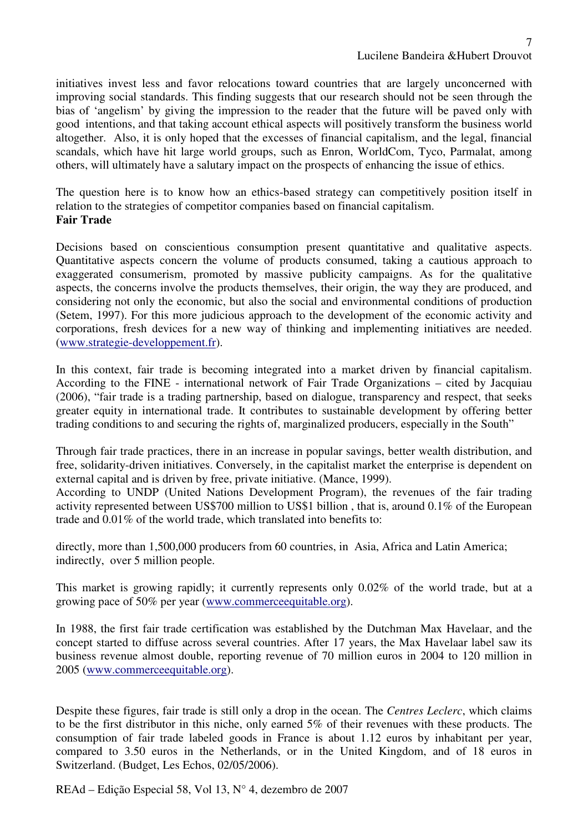initiatives invest less and favor relocations toward countries that are largely unconcerned with improving social standards. This finding suggests that our research should not be seen through the bias of 'angelism' by giving the impression to the reader that the future will be paved only with good intentions, and that taking account ethical aspects will positively transform the business world altogether. Also, it is only hoped that the excesses of financial capitalism, and the legal, financial scandals, which have hit large world groups, such as Enron, WorldCom, Tyco, Parmalat, among others, will ultimately have a salutary impact on the prospects of enhancing the issue of ethics.

The question here is to know how an ethics-based strategy can competitively position itself in relation to the strategies of competitor companies based on financial capitalism. **Fair Trade** 

Decisions based on conscientious consumption present quantitative and qualitative aspects. Quantitative aspects concern the volume of products consumed, taking a cautious approach to exaggerated consumerism, promoted by massive publicity campaigns. As for the qualitative aspects, the concerns involve the products themselves, their origin, the way they are produced, and considering not only the economic, but also the social and environmental conditions of production (Setem, 1997). For this more judicious approach to the development of the economic activity and corporations, fresh devices for a new way of thinking and implementing initiatives are needed. (www.strategie-developpement.fr).

In this context, fair trade is becoming integrated into a market driven by financial capitalism. According to the FINE - international network of Fair Trade Organizations – cited by Jacquiau (2006), "fair trade is a trading partnership, based on dialogue, transparency and respect, that seeks greater equity in international trade. It contributes to sustainable development by offering better trading conditions to and securing the rights of, marginalized producers, especially in the South"

Through fair trade practices, there in an increase in popular savings, better wealth distribution, and free, solidarity-driven initiatives. Conversely, in the capitalist market the enterprise is dependent on external capital and is driven by free, private initiative. (Mance, 1999).

According to UNDP (United Nations Development Program), the revenues of the fair trading activity represented between US\$700 million to US\$1 billion , that is, around 0.1% of the European trade and 0.01% of the world trade, which translated into benefits to:

directly, more than 1,500,000 producers from 60 countries, in Asia, Africa and Latin America; indirectly, over 5 million people.

This market is growing rapidly; it currently represents only 0.02% of the world trade, but at a growing pace of 50% per year (www.commerceequitable.org).

In 1988, the first fair trade certification was established by the Dutchman Max Havelaar, and the concept started to diffuse across several countries. After 17 years, the Max Havelaar label saw its business revenue almost double, reporting revenue of 70 million euros in 2004 to 120 million in 2005 (www.commerceequitable.org).

Despite these figures, fair trade is still only a drop in the ocean. The *Centres Leclerc*, which claims to be the first distributor in this niche, only earned 5% of their revenues with these products. The consumption of fair trade labeled goods in France is about 1.12 euros by inhabitant per year, compared to 3.50 euros in the Netherlands, or in the United Kingdom, and of 18 euros in Switzerland. (Budget, Les Echos, 02/05/2006).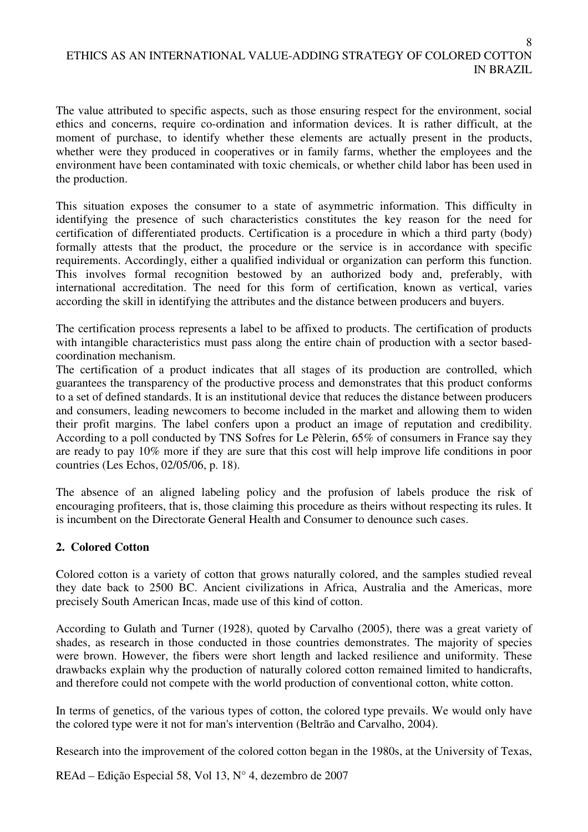The value attributed to specific aspects, such as those ensuring respect for the environment, social ethics and concerns, require co-ordination and information devices. It is rather difficult, at the moment of purchase, to identify whether these elements are actually present in the products, whether were they produced in cooperatives or in family farms, whether the employees and the environment have been contaminated with toxic chemicals, or whether child labor has been used in the production.

This situation exposes the consumer to a state of asymmetric information. This difficulty in identifying the presence of such characteristics constitutes the key reason for the need for certification of differentiated products. Certification is a procedure in which a third party (body) formally attests that the product, the procedure or the service is in accordance with specific requirements. Accordingly, either a qualified individual or organization can perform this function. This involves formal recognition bestowed by an authorized body and, preferably, with international accreditation. The need for this form of certification, known as vertical, varies according the skill in identifying the attributes and the distance between producers and buyers.

The certification process represents a label to be affixed to products. The certification of products with intangible characteristics must pass along the entire chain of production with a sector basedcoordination mechanism.

The certification of a product indicates that all stages of its production are controlled, which guarantees the transparency of the productive process and demonstrates that this product conforms to a set of defined standards. It is an institutional device that reduces the distance between producers and consumers, leading newcomers to become included in the market and allowing them to widen their profit margins. The label confers upon a product an image of reputation and credibility. According to a poll conducted by TNS Sofres for Le Pèlerin, 65% of consumers in France say they are ready to pay 10% more if they are sure that this cost will help improve life conditions in poor countries (Les Echos, 02/05/06, p. 18).

The absence of an aligned labeling policy and the profusion of labels produce the risk of encouraging profiteers, that is, those claiming this procedure as theirs without respecting its rules. It is incumbent on the Directorate General Health and Consumer to denounce such cases.

### **2. Colored Cotton**

Colored cotton is a variety of cotton that grows naturally colored, and the samples studied reveal they date back to 2500 BC. Ancient civilizations in Africa, Australia and the Americas, more precisely South American Incas, made use of this kind of cotton.

According to Gulath and Turner (1928), quoted by Carvalho (2005), there was a great variety of shades, as research in those conducted in those countries demonstrates. The majority of species were brown. However, the fibers were short length and lacked resilience and uniformity. These drawbacks explain why the production of naturally colored cotton remained limited to handicrafts, and therefore could not compete with the world production of conventional cotton, white cotton.

In terms of genetics, of the various types of cotton, the colored type prevails. We would only have the colored type were it not for man's intervention (Beltrão and Carvalho, 2004).

Research into the improvement of the colored cotton began in the 1980s, at the University of Texas,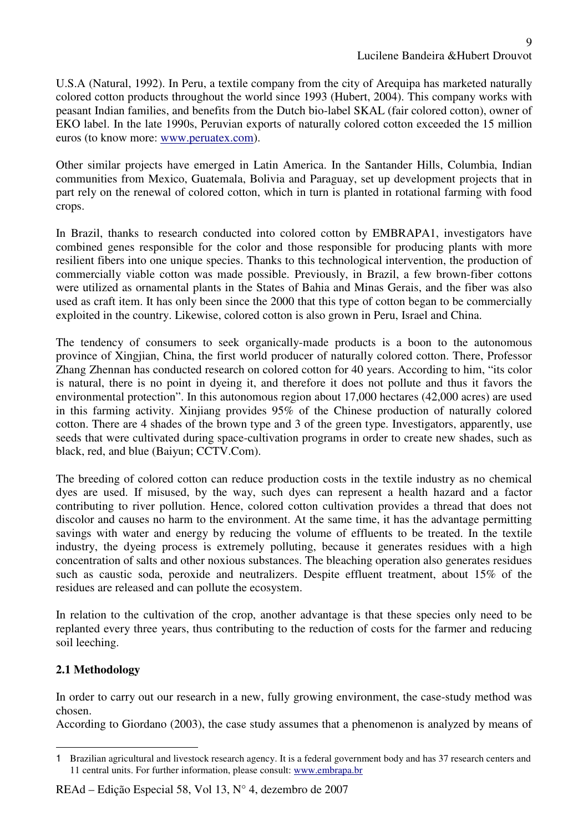U.S.A (Natural, 1992). In Peru, a textile company from the city of Arequipa has marketed naturally colored cotton products throughout the world since 1993 (Hubert, 2004). This company works with peasant Indian families, and benefits from the Dutch bio-label SKAL (fair colored cotton), owner of EKO label. In the late 1990s, Peruvian exports of naturally colored cotton exceeded the 15 million euros (to know more: www.peruatex.com).

Other similar projects have emerged in Latin America. In the Santander Hills, Columbia, Indian communities from Mexico, Guatemala, Bolivia and Paraguay, set up development projects that in part rely on the renewal of colored cotton, which in turn is planted in rotational farming with food crops.

In Brazil, thanks to research conducted into colored cotton by EMBRAPA1, investigators have combined genes responsible for the color and those responsible for producing plants with more resilient fibers into one unique species. Thanks to this technological intervention, the production of commercially viable cotton was made possible. Previously, in Brazil, a few brown-fiber cottons were utilized as ornamental plants in the States of Bahia and Minas Gerais, and the fiber was also used as craft item. It has only been since the 2000 that this type of cotton began to be commercially exploited in the country. Likewise, colored cotton is also grown in Peru, Israel and China.

The tendency of consumers to seek organically-made products is a boon to the autonomous province of Xingjian, China, the first world producer of naturally colored cotton. There, Professor Zhang Zhennan has conducted research on colored cotton for 40 years. According to him, "its color is natural, there is no point in dyeing it, and therefore it does not pollute and thus it favors the environmental protection". In this autonomous region about 17,000 hectares (42,000 acres) are used in this farming activity. Xinjiang provides 95% of the Chinese production of naturally colored cotton. There are 4 shades of the brown type and 3 of the green type. Investigators, apparently, use seeds that were cultivated during space-cultivation programs in order to create new shades, such as black, red, and blue (Baiyun; CCTV.Com).

The breeding of colored cotton can reduce production costs in the textile industry as no chemical dyes are used. If misused, by the way, such dyes can represent a health hazard and a factor contributing to river pollution. Hence, colored cotton cultivation provides a thread that does not discolor and causes no harm to the environment. At the same time, it has the advantage permitting savings with water and energy by reducing the volume of effluents to be treated. In the textile industry, the dyeing process is extremely polluting, because it generates residues with a high concentration of salts and other noxious substances. The bleaching operation also generates residues such as caustic soda, peroxide and neutralizers. Despite effluent treatment, about 15% of the residues are released and can pollute the ecosystem.

In relation to the cultivation of the crop, another advantage is that these species only need to be replanted every three years, thus contributing to the reduction of costs for the farmer and reducing soil leeching.

## **2.1 Methodology**

 $\overline{a}$ 

In order to carry out our research in a new, fully growing environment, the case-study method was chosen.

According to Giordano (2003), the case study assumes that a phenomenon is analyzed by means of

<sup>1</sup> Brazilian agricultural and livestock research agency. It is a federal government body and has 37 research centers and 11 central units. For further information, please consult: www.embrapa.br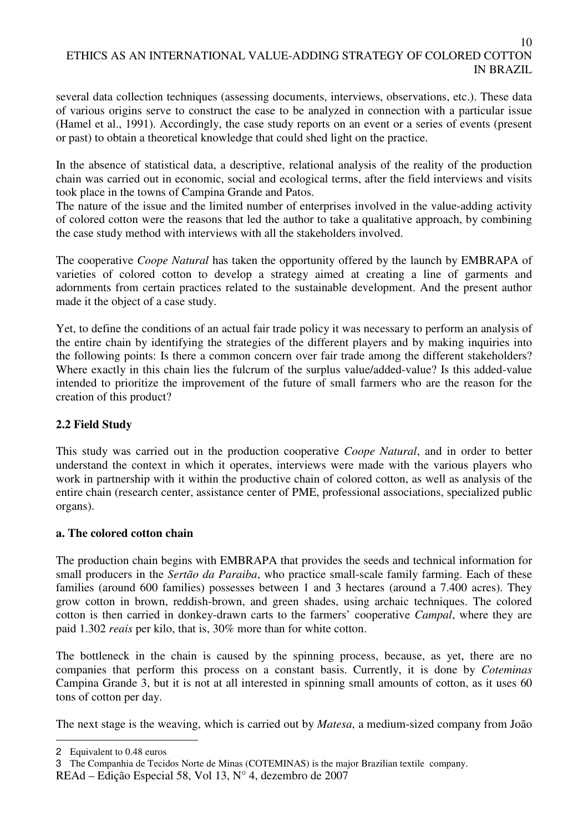10

several data collection techniques (assessing documents, interviews, observations, etc.). These data of various origins serve to construct the case to be analyzed in connection with a particular issue (Hamel et al., 1991). Accordingly, the case study reports on an event or a series of events (present or past) to obtain a theoretical knowledge that could shed light on the practice.

In the absence of statistical data, a descriptive, relational analysis of the reality of the production chain was carried out in economic, social and ecological terms, after the field interviews and visits took place in the towns of Campina Grande and Patos.

The nature of the issue and the limited number of enterprises involved in the value-adding activity of colored cotton were the reasons that led the author to take a qualitative approach, by combining the case study method with interviews with all the stakeholders involved.

The cooperative *Coope Natural* has taken the opportunity offered by the launch by EMBRAPA of varieties of colored cotton to develop a strategy aimed at creating a line of garments and adornments from certain practices related to the sustainable development. And the present author made it the object of a case study.

Yet, to define the conditions of an actual fair trade policy it was necessary to perform an analysis of the entire chain by identifying the strategies of the different players and by making inquiries into the following points: Is there a common concern over fair trade among the different stakeholders? Where exactly in this chain lies the fulcrum of the surplus value/added-value? Is this added-value intended to prioritize the improvement of the future of small farmers who are the reason for the creation of this product?

### **2.2 Field Study**

This study was carried out in the production cooperative *Coope Natural*, and in order to better understand the context in which it operates, interviews were made with the various players who work in partnership with it within the productive chain of colored cotton, as well as analysis of the entire chain (research center, assistance center of PME, professional associations, specialized public organs).

### **a. The colored cotton chain**

The production chain begins with EMBRAPA that provides the seeds and technical information for small producers in the *Sertão da Paraiba*, who practice small-scale family farming. Each of these families (around 600 families) possesses between 1 and 3 hectares (around a 7.400 acres). They grow cotton in brown, reddish-brown, and green shades, using archaic techniques. The colored cotton is then carried in donkey-drawn carts to the farmers' cooperative *Campal*, where they are paid 1.302 *reais* per kilo, that is, 30% more than for white cotton.

The bottleneck in the chain is caused by the spinning process, because, as yet, there are no companies that perform this process on a constant basis. Currently, it is done by *Coteminas* Campina Grande 3, but it is not at all interested in spinning small amounts of cotton, as it uses 60 tons of cotton per day.

The next stage is the weaving, which is carried out by *Matesa*, a medium-sized company from João

 $\overline{a}$ 2 Equivalent to 0.48 euros

<sup>3</sup> The Companhia de Tecidos Norte de Minas (COTEMINAS) is the major Brazilian textile company.

REAd – Edição Especial 58, Vol 13, N° 4, dezembro de 2007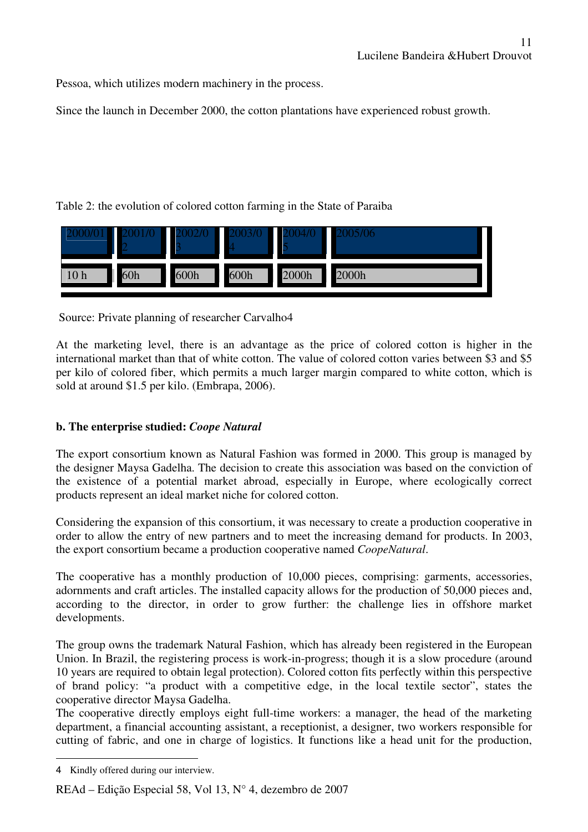Pessoa, which utilizes modern machinery in the process.

Since the launch in December 2000, the cotton plantations have experienced robust growth.

Table 2: the evolution of colored cotton farming in the State of Paraiba

|                 |     |      |      |       | 706   |
|-----------------|-----|------|------|-------|-------|
| 10 <sub>h</sub> | 60h | 600h | 600h | 2000h | 2000h |

Source: Private planning of researcher Carvalho4

At the marketing level, there is an advantage as the price of colored cotton is higher in the international market than that of white cotton. The value of colored cotton varies between \$3 and \$5 per kilo of colored fiber, which permits a much larger margin compared to white cotton, which is sold at around \$1.5 per kilo. (Embrapa, 2006).

## **b. The enterprise studied:** *Coope Natural*

The export consortium known as Natural Fashion was formed in 2000. This group is managed by the designer Maysa Gadelha. The decision to create this association was based on the conviction of the existence of a potential market abroad, especially in Europe, where ecologically correct products represent an ideal market niche for colored cotton.

Considering the expansion of this consortium, it was necessary to create a production cooperative in order to allow the entry of new partners and to meet the increasing demand for products. In 2003, the export consortium became a production cooperative named *CoopeNatural*.

The cooperative has a monthly production of 10,000 pieces, comprising: garments, accessories, adornments and craft articles. The installed capacity allows for the production of 50,000 pieces and, according to the director, in order to grow further: the challenge lies in offshore market developments.

The group owns the trademark Natural Fashion, which has already been registered in the European Union. In Brazil, the registering process is work-in-progress; though it is a slow procedure (around 10 years are required to obtain legal protection). Colored cotton fits perfectly within this perspective of brand policy: "a product with a competitive edge, in the local textile sector", states the cooperative director Maysa Gadelha.

The cooperative directly employs eight full-time workers: a manager, the head of the marketing department, a financial accounting assistant, a receptionist, a designer, two workers responsible for cutting of fabric, and one in charge of logistics. It functions like a head unit for the production,

 $\overline{a}$ 4 Kindly offered during our interview.

REAd – Edição Especial 58, Vol 13, N° 4, dezembro de 2007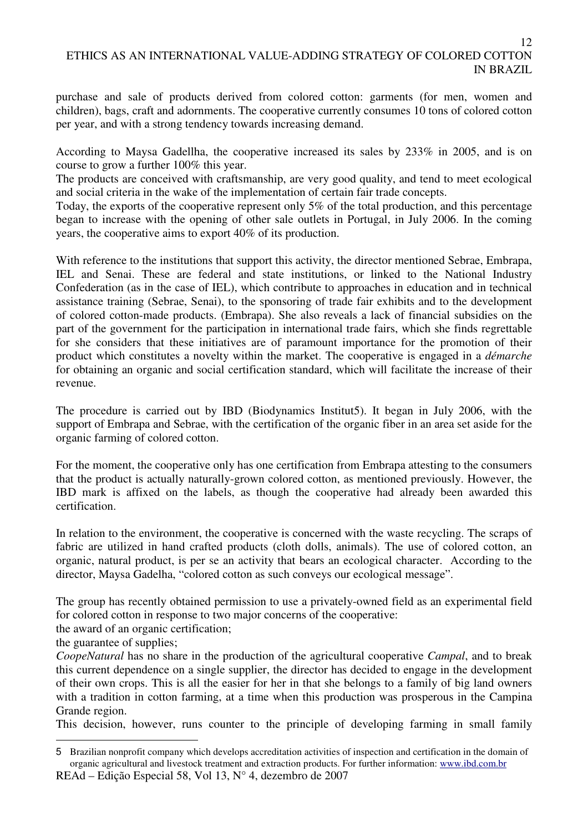purchase and sale of products derived from colored cotton: garments (for men, women and children), bags, craft and adornments. The cooperative currently consumes 10 tons of colored cotton per year, and with a strong tendency towards increasing demand.

According to Maysa Gadellha, the cooperative increased its sales by 233% in 2005, and is on course to grow a further 100% this year.

The products are conceived with craftsmanship, are very good quality, and tend to meet ecological and social criteria in the wake of the implementation of certain fair trade concepts.

Today, the exports of the cooperative represent only 5% of the total production, and this percentage began to increase with the opening of other sale outlets in Portugal, in July 2006. In the coming years, the cooperative aims to export 40% of its production.

With reference to the institutions that support this activity, the director mentioned Sebrae, Embrapa, IEL and Senai. These are federal and state institutions, or linked to the National Industry Confederation (as in the case of IEL), which contribute to approaches in education and in technical assistance training (Sebrae, Senai), to the sponsoring of trade fair exhibits and to the development of colored cotton-made products. (Embrapa). She also reveals a lack of financial subsidies on the part of the government for the participation in international trade fairs, which she finds regrettable for she considers that these initiatives are of paramount importance for the promotion of their product which constitutes a novelty within the market. The cooperative is engaged in a *démarche* for obtaining an organic and social certification standard, which will facilitate the increase of their revenue.

The procedure is carried out by IBD (Biodynamics Institut5). It began in July 2006, with the support of Embrapa and Sebrae, with the certification of the organic fiber in an area set aside for the organic farming of colored cotton.

For the moment, the cooperative only has one certification from Embrapa attesting to the consumers that the product is actually naturally-grown colored cotton, as mentioned previously. However, the IBD mark is affixed on the labels, as though the cooperative had already been awarded this certification.

In relation to the environment, the cooperative is concerned with the waste recycling. The scraps of fabric are utilized in hand crafted products (cloth dolls, animals). The use of colored cotton, an organic, natural product, is per se an activity that bears an ecological character. According to the director, Maysa Gadelha, "colored cotton as such conveys our ecological message".

The group has recently obtained permission to use a privately-owned field as an experimental field for colored cotton in response to two major concerns of the cooperative:

the award of an organic certification;

the guarantee of supplies;

 $\overline{a}$ 

*CoopeNatural* has no share in the production of the agricultural cooperative *Campal*, and to break this current dependence on a single supplier, the director has decided to engage in the development of their own crops. This is all the easier for her in that she belongs to a family of big land owners with a tradition in cotton farming, at a time when this production was prosperous in the Campina Grande region.

This decision, however, runs counter to the principle of developing farming in small family

REAd – Edição Especial 58, Vol 13, N° 4, dezembro de 2007 5 Brazilian nonprofit company which develops accreditation activities of inspection and certification in the domain of organic agricultural and livestock treatment and extraction products. For further information: www.ibd.com.br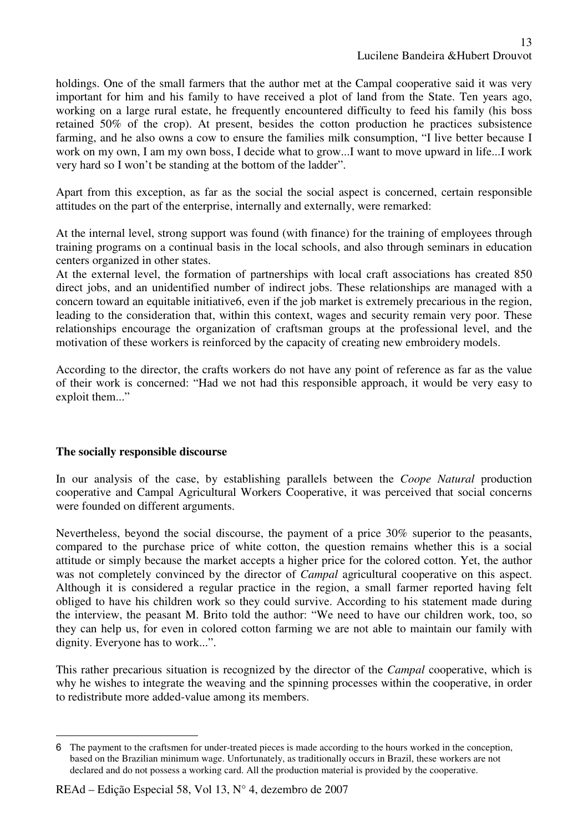holdings. One of the small farmers that the author met at the Campal cooperative said it was very important for him and his family to have received a plot of land from the State. Ten years ago, working on a large rural estate, he frequently encountered difficulty to feed his family (his boss retained 50% of the crop). At present, besides the cotton production he practices subsistence farming, and he also owns a cow to ensure the families milk consumption, "I live better because I work on my own, I am my own boss, I decide what to grow...I want to move upward in life...I work very hard so I won't be standing at the bottom of the ladder".

Apart from this exception, as far as the social the social aspect is concerned, certain responsible attitudes on the part of the enterprise, internally and externally, were remarked:

At the internal level, strong support was found (with finance) for the training of employees through training programs on a continual basis in the local schools, and also through seminars in education centers organized in other states.

At the external level, the formation of partnerships with local craft associations has created 850 direct jobs, and an unidentified number of indirect jobs. These relationships are managed with a concern toward an equitable initiative6, even if the job market is extremely precarious in the region, leading to the consideration that, within this context, wages and security remain very poor. These relationships encourage the organization of craftsman groups at the professional level, and the motivation of these workers is reinforced by the capacity of creating new embroidery models.

According to the director, the crafts workers do not have any point of reference as far as the value of their work is concerned: "Had we not had this responsible approach, it would be very easy to exploit them..."

### **The socially responsible discourse**

In our analysis of the case, by establishing parallels between the *Coope Natural* production cooperative and Campal Agricultural Workers Cooperative, it was perceived that social concerns were founded on different arguments.

Nevertheless, beyond the social discourse, the payment of a price 30% superior to the peasants, compared to the purchase price of white cotton, the question remains whether this is a social attitude or simply because the market accepts a higher price for the colored cotton. Yet, the author was not completely convinced by the director of *Campal* agricultural cooperative on this aspect. Although it is considered a regular practice in the region, a small farmer reported having felt obliged to have his children work so they could survive. According to his statement made during the interview, the peasant M. Brito told the author: "We need to have our children work, too, so they can help us, for even in colored cotton farming we are not able to maintain our family with dignity. Everyone has to work...".

This rather precarious situation is recognized by the director of the *Campal* cooperative, which is why he wishes to integrate the weaving and the spinning processes within the cooperative, in order to redistribute more added-value among its members.

 $\overline{a}$ 6 The payment to the craftsmen for under-treated pieces is made according to the hours worked in the conception, based on the Brazilian minimum wage. Unfortunately, as traditionally occurs in Brazil, these workers are not declared and do not possess a working card. All the production material is provided by the cooperative.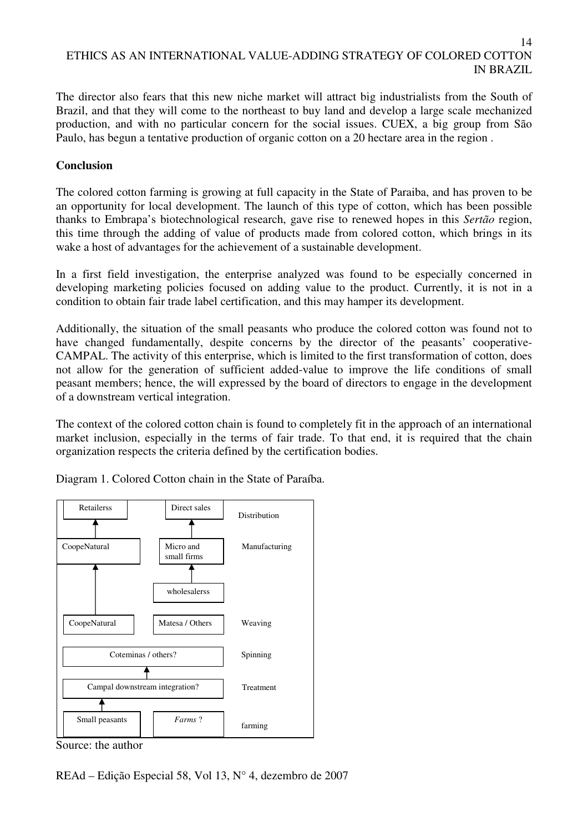14

The director also fears that this new niche market will attract big industrialists from the South of Brazil, and that they will come to the northeast to buy land and develop a large scale mechanized production, and with no particular concern for the social issues. CUEX, a big group from São Paulo, has begun a tentative production of organic cotton on a 20 hectare area in the region .

### **Conclusion**

The colored cotton farming is growing at full capacity in the State of Paraiba, and has proven to be an opportunity for local development. The launch of this type of cotton, which has been possible thanks to Embrapa's biotechnological research, gave rise to renewed hopes in this *Sertão* region, this time through the adding of value of products made from colored cotton, which brings in its wake a host of advantages for the achievement of a sustainable development.

In a first field investigation, the enterprise analyzed was found to be especially concerned in developing marketing policies focused on adding value to the product. Currently, it is not in a condition to obtain fair trade label certification, and this may hamper its development.

Additionally, the situation of the small peasants who produce the colored cotton was found not to have changed fundamentally, despite concerns by the director of the peasants' cooperative-CAMPAL. The activity of this enterprise, which is limited to the first transformation of cotton, does not allow for the generation of sufficient added-value to improve the life conditions of small peasant members; hence, the will expressed by the board of directors to engage in the development of a downstream vertical integration.

The context of the colored cotton chain is found to completely fit in the approach of an international market inclusion, especially in the terms of fair trade. To that end, it is required that the chain organization respects the criteria defined by the certification bodies.



Diagram 1. Colored Cotton chain in the State of Paraíba.

Source: the author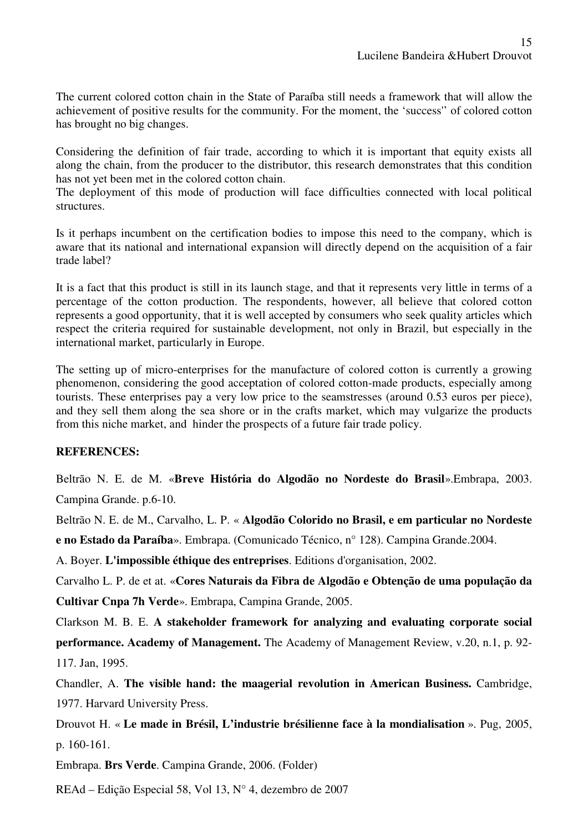The current colored cotton chain in the State of Paraíba still needs a framework that will allow the achievement of positive results for the community. For the moment, the 'success'' of colored cotton has brought no big changes.

Considering the definition of fair trade, according to which it is important that equity exists all along the chain, from the producer to the distributor, this research demonstrates that this condition has not yet been met in the colored cotton chain.

The deployment of this mode of production will face difficulties connected with local political structures.

Is it perhaps incumbent on the certification bodies to impose this need to the company, which is aware that its national and international expansion will directly depend on the acquisition of a fair trade label?

It is a fact that this product is still in its launch stage, and that it represents very little in terms of a percentage of the cotton production. The respondents, however, all believe that colored cotton represents a good opportunity, that it is well accepted by consumers who seek quality articles which respect the criteria required for sustainable development, not only in Brazil, but especially in the international market, particularly in Europe.

The setting up of micro-enterprises for the manufacture of colored cotton is currently a growing phenomenon, considering the good acceptation of colored cotton-made products, especially among tourists. These enterprises pay a very low price to the seamstresses (around 0.53 euros per piece), and they sell them along the sea shore or in the crafts market, which may vulgarize the products from this niche market, and hinder the prospects of a future fair trade policy.

### **REFERENCES:**

Beltrão N. E. de M. «**Breve História do Algodão no Nordeste do Brasil**».Embrapa, 2003. Campina Grande. p.6-10.

Beltrão N. E. de M., Carvalho, L. P. « **Algodão Colorido no Brasil, e em particular no Nordeste** 

**e no Estado da Paraíba**». Embrapa. (Comunicado Técnico, n° 128). Campina Grande.2004.

A. Boyer. **L'impossible éthique des entreprises**. Editions d'organisation, 2002.

Carvalho L. P. de et at. «**Cores Naturais da Fibra de Algodão e Obtenção de uma população da Cultivar Cnpa 7h Verde**». Embrapa, Campina Grande, 2005.

Clarkson M. B. E. **A stakeholder framework for analyzing and evaluating corporate social performance. Academy of Management.** The Academy of Management Review, v.20, n.1, p. 92- 117. Jan, 1995.

Chandler, A. **The visible hand: the maagerial revolution in American Business.** Cambridge, 1977. Harvard University Press.

Drouvot H. « **Le made in Brésil, L'industrie brésilienne face à la mondialisation** ». Pug, 2005, p. 160-161.

Embrapa. **Brs Verde**. Campina Grande, 2006. (Folder)